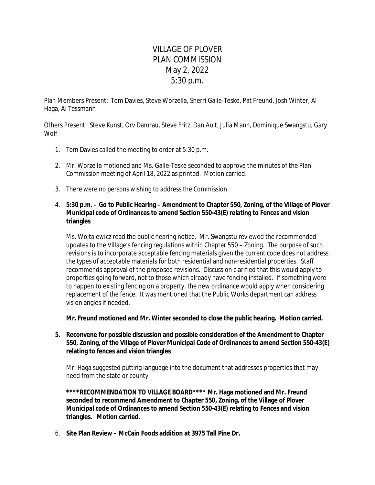## VILLAGE OF PLOVER PLAN COMMISSION May 2, 2022 5:30 p.m.

Plan Members Present: Tom Davies, Steve Worzella, Sherri Galle-Teske, Pat Freund, Josh Winter, Al Haga, Al Tessmann

Others Present: Steve Kunst, Orv Damrau, Steve Fritz, Dan Ault, Julia Mann, Dominique Swangstu, Gary Wolf

- 1. Tom Davies called the meeting to order at 5:30 p.m.
- 2. Mr. Worzella motioned and Ms. Galle-Teske seconded to approve the minutes of the Plan Commission meeting of April 18, 2022 as printed. Motion carried.
- 3. There were no persons wishing to address the Commission.
- 4. **5:30 p.m. Go to Public Hearing Amendment to Chapter 550, Zoning, of the Village of Plover Municipal code of Ordinances to amend Section 550-43(E) relating to Fences and vision triangles**

Ms. Wojtalewicz read the public hearing notice. Mr. Swangstu reviewed the recommended updates to the Village's fencing regulations within Chapter 550 – Zoning. The purpose of such revisions is to incorporate acceptable fencing materials given the current code does not address the types of acceptable materials for both residential and non-residential properties. Staff recommends approval of the proposed revisions. Discussion clarified that this would apply to properties going forward, not to those which already have fencing installed. If something were to happen to existing fencing on a property, the new ordinance would apply when considering replacement of the fence. It was mentioned that the Public Works department can address vision angles if needed.

**Mr. Freund motioned and Mr. Winter seconded to close the public hearing. Motion carried.**

**5. Reconvene for possible discussion and possible consideration of the Amendment to Chapter 550, Zoning, of the Village of Plover Municipal Code of Ordinances to amend Section 550-43(E) relating to fences and vision triangles**

Mr. Haga suggested putting language into the document that addresses properties that may need from the state or county.

**\*\*\*\*RECOMMENDATION TO VILLAGE BOARD\*\*\*\* Mr. Haga motioned and Mr. Freund seconded to recommend Amendment to Chapter 550, Zoning, of the Village of Plover Municipal code of Ordinances to amend Section 550-43(E) relating to Fences and vision triangles. Motion carried.**

6. **Site Plan Review – McCain Foods addition at 3975 Tall Pine Dr.**